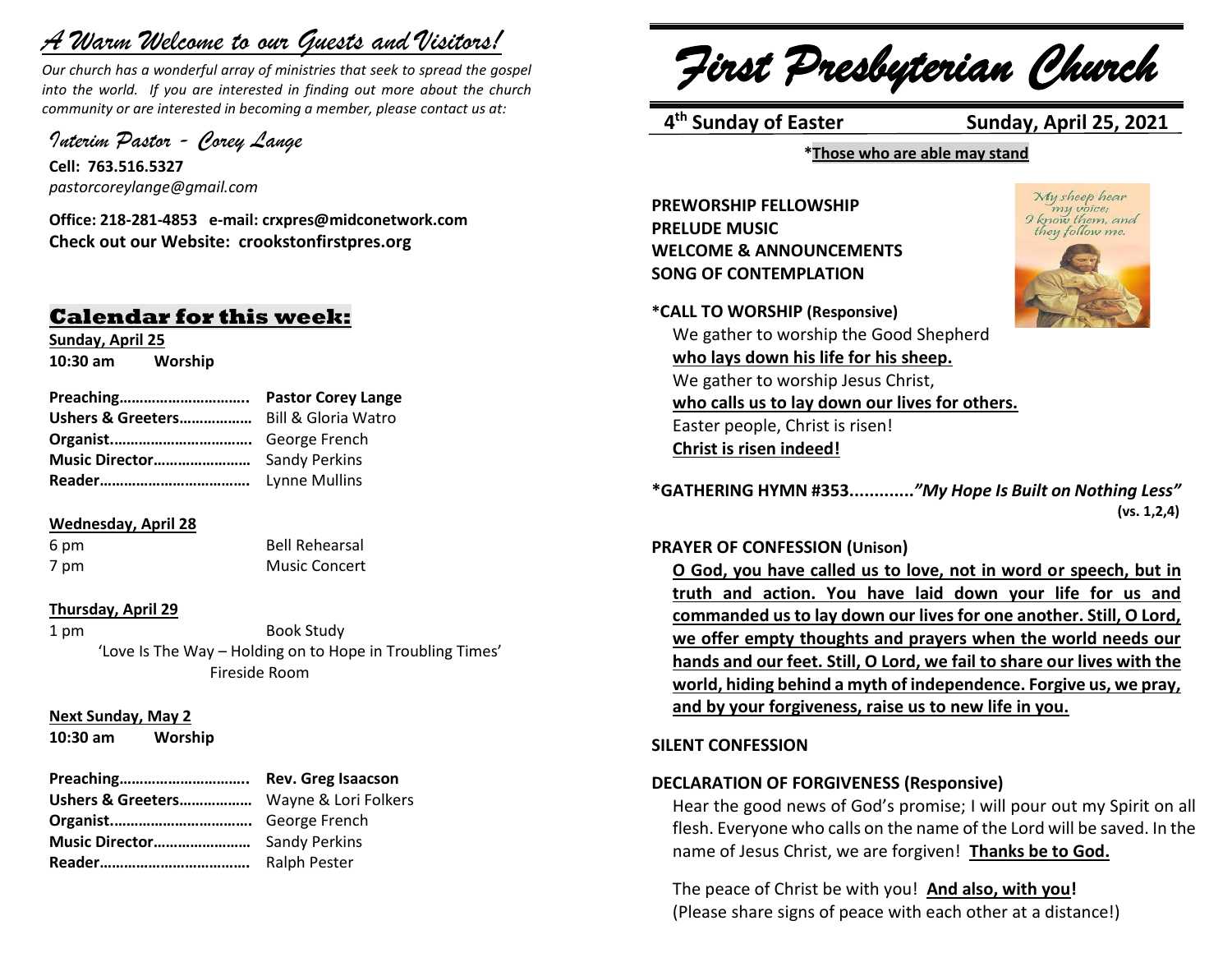# *A Warm Welcome to our Guests and Visitors!*

*Our church has a wonderful array of ministries that seek to spread the gospel into the world. If you are interested in finding out more about the church community or are interested in becoming a member, please contact us at:*

*Interim Pastor - Corey Lange* 

**Cell: 763.516.5327** *pastorcoreylange@gmail.com*

**Office: 218-281-4853 e-mail: crxpres@midconetwork.com Check out our Website: crookstonfirstpres.org**

# **Calendar for this week:**

**Sunday, April 25 10:30 am Worship** 

**Preaching………………………….. Pastor Corey Lange Ushers & Greeters………………** Bill & Gloria Watro **Organist.…………………………….** George French **Music Director……………………** Sandy Perkins **Reader……………………………….** Lynne Mullins

# **Wednesday, April 28**

6 pm Bell Rehearsal 7 pm Music Concert

## **Thursday, April 29**

1 pm Book Study 'Love Is The Way – Holding on to Hope in Troubling Times' Fireside Room

**Next Sunday, May 2**

**10:30 am Worship** 

| Preaching                              | <b>Rev. Greg Isaacson</b> |
|----------------------------------------|---------------------------|
| Ushers & Greeters Wayne & Lori Folkers |                           |
|                                        |                           |
|                                        |                           |
|                                        | <b>Ralph Pester</b>       |

*First Presbyterian Church*

4<sup>th</sup> Sunday of Easter

**Sunday, April 25, 2021** 

**\*Those who are able may stand**

**PREWORSHIP FELLOWSHIP PRELUDE MUSIC WELCOME & ANNOUNCEMENTS SONG OF CONTEMPLATION** 



My sheep hear

**\*CALL TO WORSHIP (Responsive)** We gather to worship the Good Shepherd **who lays down his life for his sheep.** We gather to worship Jesus Christ, **who calls us to lay down our lives for others.** Easter people, Christ is risen! **Christ is risen indeed!**

**\*GATHERING HYMN #353.............***"My Hope Is Built on Nothing Less"*  **(vs. 1,2,4)**

## **PRAYER OF CONFESSION (Unison)**

**O God, you have called us to love, not in word or speech, but in truth and action. You have laid down your life for us and commanded us to lay down our lives for one another. Still, O Lord, we offer empty thoughts and prayers when the world needs our hands and our feet. Still, O Lord, we fail to share our lives with the world, hiding behind a myth of independence. Forgive us, we pray, and by your forgiveness, raise us to new life in you.**

# **SILENT CONFESSION**

# **DECLARATION OF FORGIVENESS (Responsive)**

Hear the good news of God's promise; I will pour out my Spirit on all flesh. Everyone who calls on the name of the Lord will be saved. In the name of Jesus Christ, we are forgiven! **Thanks be to God.**

The peace of Christ be with you! **And also, with you!** (Please share signs of peace with each other at a distance!)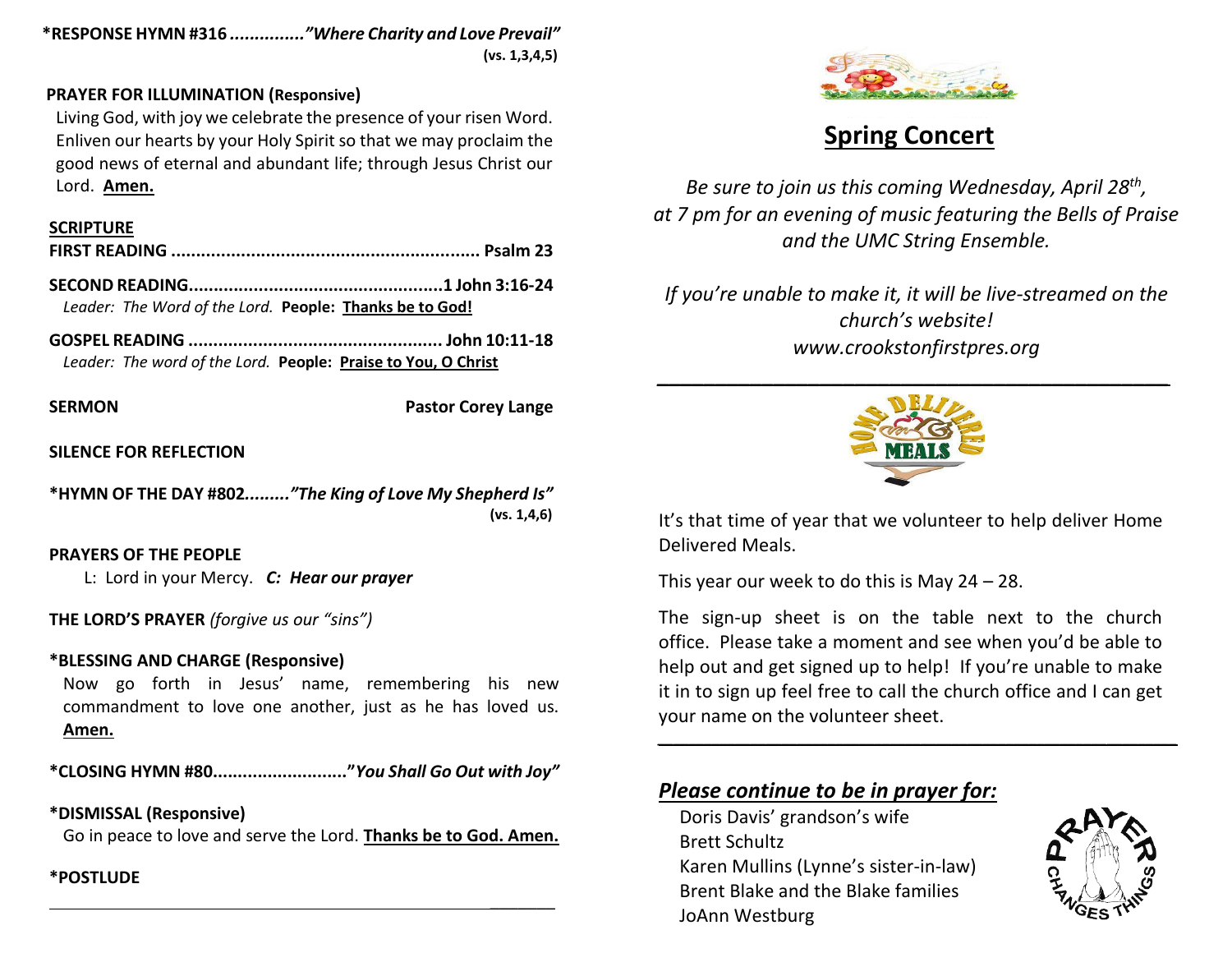**\*RESPONSE HYMN #316** *..............."Where Charity and Love Prevail"*  **(vs. 1,3,4,5)**

# **PRAYER FOR ILLUMINATION (Responsive)**

Living God, with joy we celebrate the presence of your risen Word. Enliven our hearts by your Holy Spirit so that we may proclaim the good news of eternal and abundant life; through Jesus Christ our Lord. **Amen.**

## **SCRIPTURE**

*Leader: The Word of the Lord.* **People: Thanks be to God!**

**GOSPEL READING ................................................... John 10:11-18** *Leader: The word of the Lord.* **People: Praise to You, O Christ**

**SERMON Pastor Corey Lange** 

 $\frac{1}{2}$ 

# **SILENCE FOR REFLECTION**

**\*HYMN OF THE DAY #802***........."The King of Love My Shepherd Is"* **(vs. 1,4,6)**

# **PRAYERS OF THE PEOPLE**

L: Lord in your Mercy. *C: Hear our prayer*

**THE LORD'S PRAYER** *(forgive us our "sins")* 

# **\*BLESSING AND CHARGE (Responsive)**

Now go forth in Jesus' name, remembering his new commandment to love one another, just as he has loved us. **Amen.**

**\*CLOSING HYMN #80..........................."***You Shall Go Out with Joy"*

# **\*DISMISSAL (Responsive)**

Go in peace to love and serve the Lord. **Thanks be to God. Amen.**

# **\*POSTLUDE**



# **Spring Concert**

*Be sure to join us this coming Wednesday, April 28th , at 7 pm for an evening of music featuring the Bells of Praise and the UMC String Ensemble.*

*If you're unable to make it, it will be live-streamed on the church's website! www.crookstonfirstpres.org*



It's that time of year that we volunteer to help deliver Home Delivered Meals.

This year our week to do this is May 24 – 28.

The sign-up sheet is on the table next to the church office. Please take a moment and see when you'd be able to help out and get signed up to help! If you're unable to make it in to sign up feel free to call the church office and I can get your name on the volunteer sheet.

*\_\_\_\_\_\_\_\_\_\_\_\_\_\_\_\_\_\_\_\_\_\_\_\_\_\_\_\_\_\_\_\_\_\_\_\_\_\_\_\_\_\_\_\_\_\_\_\_\_\_\_\_\_\_\_\_\_\_\_\_\_\_\_\_\_\_\_*

# *Please continue to be in prayer for:*

Doris Davis' grandson's wife Brett Schultz Karen Mullins (Lynne's sister-in-law) Brent Blake and the Blake families JoAnn Westburg

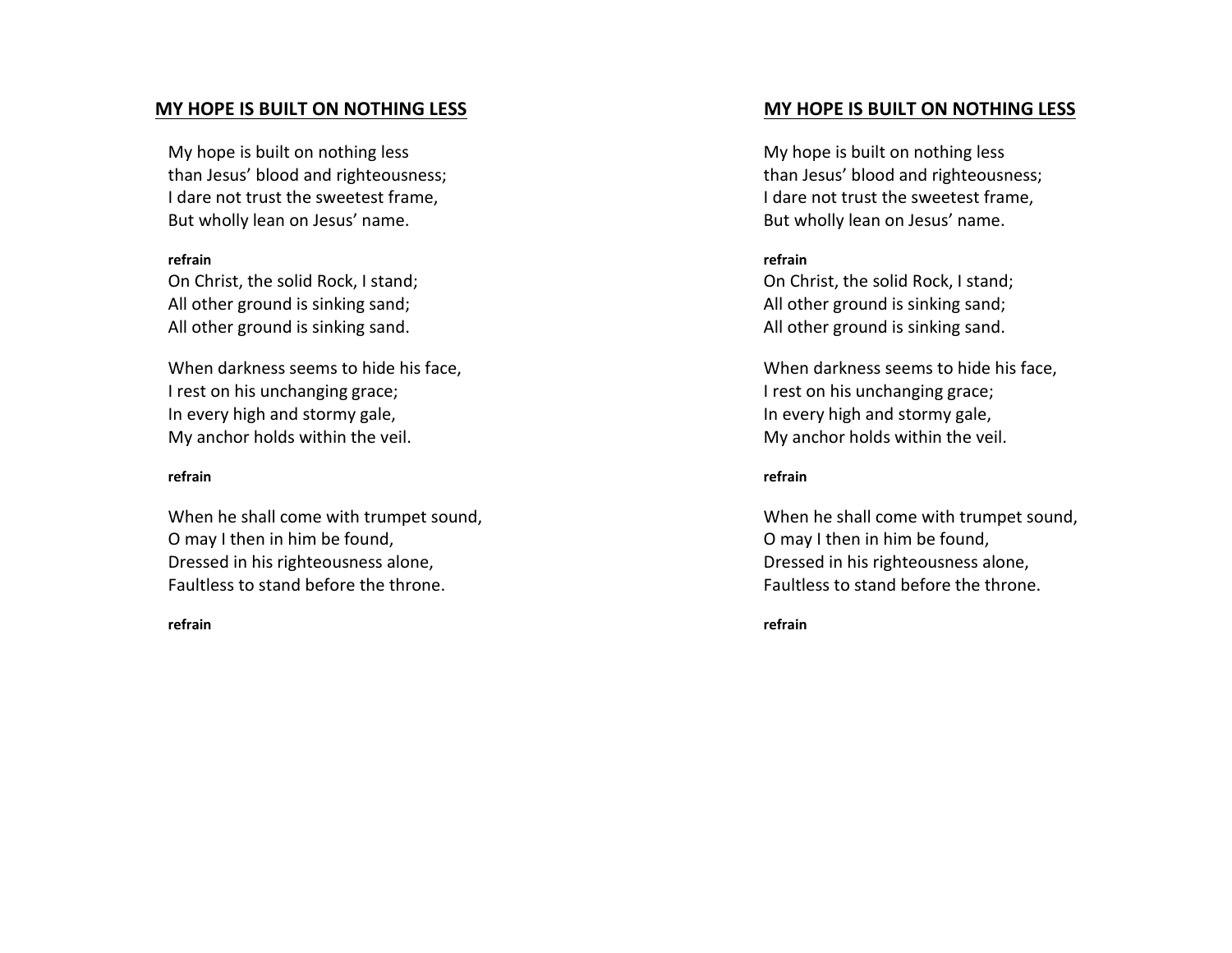## **MY HOPE IS BUILT ON NOTHING LESS**

My hope is built on nothing less than Jesus' blood and righteousness; I dare not trust the sweetest frame, But wholly lean on Jesus' name.

#### **refrain**

On Christ, the solid Rock, I stand; All other ground is sinking sand; All other ground is sinking sand.

When darkness seems to hide his face, I rest on his unchanging grace; In every high and stormy gale, My anchor holds within the veil.

#### **refrain**

When he shall come with trumpet sound, O may I then in him be found, Dressed in his righteousness alone, Faultless to stand before the throne.

#### **refrain**

# **MY HOPE IS BUILT ON NOTHING LESS**

My hope is built on nothing less than Jesus' blood and righteousness; I dare not trust the sweetest frame, But wholly lean on Jesus' name.

### **refrain**

On Christ, the solid Rock, I stand; All other ground is sinking sand; All other ground is sinking sand.

When darkness seems to hide his face, I rest on his unchanging grace; In every high and stormy gale, My anchor holds within the veil.

#### **refrain**

When he shall come with trumpet sound, O may I then in him be found, Dressed in his righteousness alone, Faultless to stand before the throne.

**refrain**